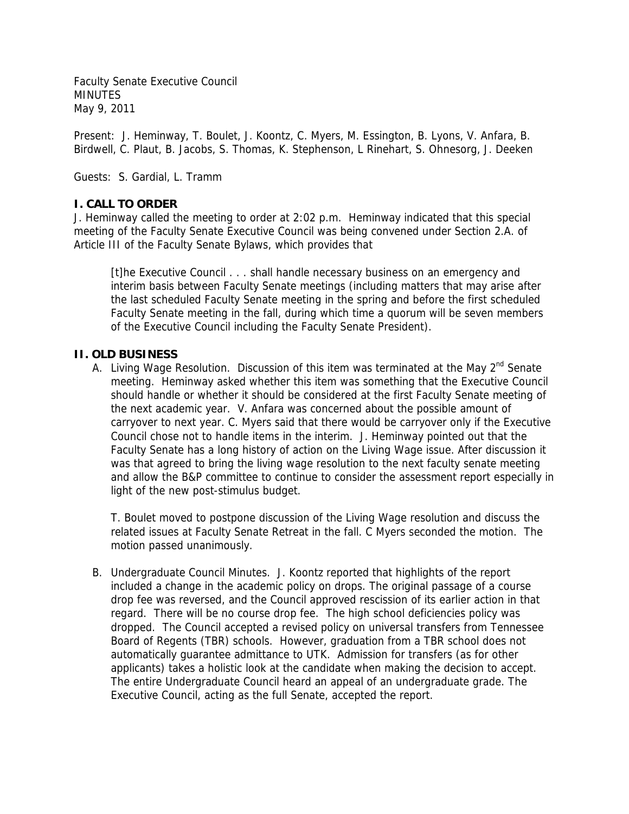Faculty Senate Executive Council MINUTES May 9, 2011

Present: J. Heminway, T. Boulet, J. Koontz, C. Myers, M. Essington, B. Lyons, V. Anfara, B. Birdwell, C. Plaut, B. Jacobs, S. Thomas, K. Stephenson, L Rinehart, S. Ohnesorg, J. Deeken

Guests: S. Gardial, L. Tramm

## **I. CALL TO ORDER**

J. Heminway called the meeting to order at 2:02 p.m. Heminway indicated that this special meeting of the Faculty Senate Executive Council was being convened under Section 2.A. of Article III of the Faculty Senate Bylaws, which provides that

[t]he Executive Council . . . shall handle necessary business on an emergency and interim basis between Faculty Senate meetings (including matters that may arise after the last scheduled Faculty Senate meeting in the spring and before the first scheduled Faculty Senate meeting in the fall, during which time a quorum will be seven members of the Executive Council including the Faculty Senate President).

## **II. OLD BUSINESS**

A. Living Wage Resolution. Discussion of this item was terminated at the May 2<sup>nd</sup> Senate meeting. Heminway asked whether this item was something that the Executive Council should handle or whether it should be considered at the first Faculty Senate meeting of the next academic year. V. Anfara was concerned about the possible amount of carryover to next year. C. Myers said that there would be carryover only if the Executive Council chose not to handle items in the interim. J. Heminway pointed out that the Faculty Senate has a long history of action on the Living Wage issue. After discussion it was that agreed to bring the living wage resolution to the next faculty senate meeting and allow the B&P committee to continue to consider the assessment report especially in light of the new post-stimulus budget.

T. Boulet moved to postpone discussion of the Living Wage resolution and discuss the related issues at Faculty Senate Retreat in the fall. C Myers seconded the motion. The motion passed unanimously.

B. Undergraduate Council Minutes. J. Koontz reported that highlights of the report included a change in the academic policy on drops. The original passage of a course drop fee was reversed, and the Council approved rescission of its earlier action in that regard. There will be no course drop fee. The high school deficiencies policy was dropped. The Council accepted a revised policy on universal transfers from Tennessee Board of Regents (TBR) schools. However, graduation from a TBR school does not automatically guarantee admittance to UTK. Admission for transfers (as for other applicants) takes a holistic look at the candidate when making the decision to accept. The entire Undergraduate Council heard an appeal of an undergraduate grade. The Executive Council, acting as the full Senate, accepted the report.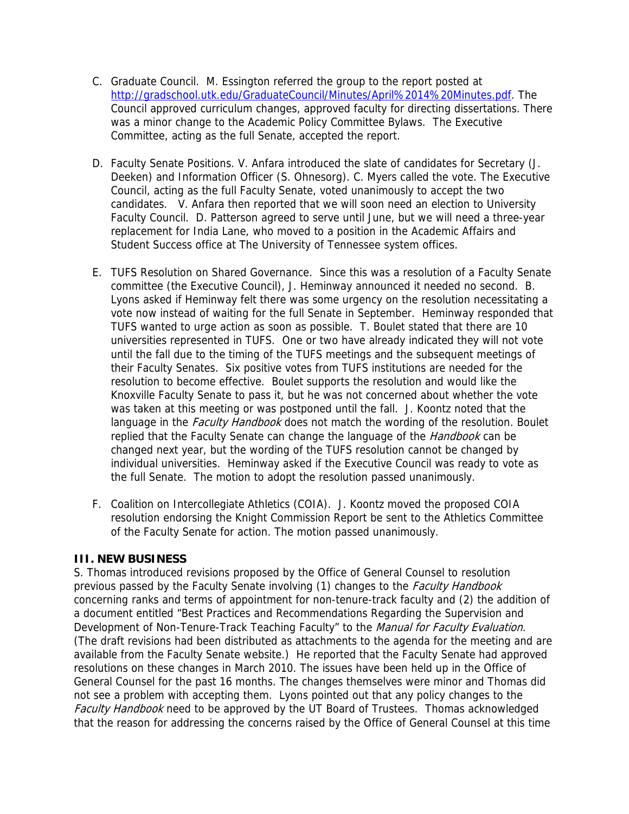- C. Graduate Council. M. Essington referred the group to the report posted at http://gradschool.utk.edu/GraduateCouncil/Minutes/April%2014%20Minutes.pdf. The Council approved curriculum changes, approved faculty for directing dissertations. There was a minor change to the Academic Policy Committee Bylaws. The Executive Committee, acting as the full Senate, accepted the report.
- D. Faculty Senate Positions. V. Anfara introduced the slate of candidates for Secretary (J. Deeken) and Information Officer (S. Ohnesorg). C. Myers called the vote. The Executive Council, acting as the full Faculty Senate, voted unanimously to accept the two candidates. V. Anfara then reported that we will soon need an election to University Faculty Council. D. Patterson agreed to serve until June, but we will need a three-year replacement for India Lane, who moved to a position in the Academic Affairs and Student Success office at The University of Tennessee system offices.
- E. TUFS Resolution on Shared Governance. Since this was a resolution of a Faculty Senate committee (the Executive Council), J. Heminway announced it needed no second. B. Lyons asked if Heminway felt there was some urgency on the resolution necessitating a vote now instead of waiting for the full Senate in September. Heminway responded that TUFS wanted to urge action as soon as possible. T. Boulet stated that there are 10 universities represented in TUFS. One or two have already indicated they will not vote until the fall due to the timing of the TUFS meetings and the subsequent meetings of their Faculty Senates. Six positive votes from TUFS institutions are needed for the resolution to become effective. Boulet supports the resolution and would like the Knoxville Faculty Senate to pass it, but he was not concerned about whether the vote was taken at this meeting or was postponed until the fall. J. Koontz noted that the language in the *Faculty Handbook* does not match the wording of the resolution. Boulet replied that the Faculty Senate can change the language of the Handbook can be changed next year, but the wording of the TUFS resolution cannot be changed by individual universities. Heminway asked if the Executive Council was ready to vote as the full Senate. The motion to adopt the resolution passed unanimously.
- F. Coalition on Intercollegiate Athletics (COIA). J. Koontz moved the proposed COIA resolution endorsing the Knight Commission Report be sent to the Athletics Committee of the Faculty Senate for action. The motion passed unanimously.

## **III. NEW BUSINESS**

S. Thomas introduced revisions proposed by the Office of General Counsel to resolution previous passed by the Faculty Senate involving (1) changes to the Faculty Handbook concerning ranks and terms of appointment for non-tenure-track faculty and (2) the addition of a document entitled "Best Practices and Recommendations Regarding the Supervision and Development of Non-Tenure-Track Teaching Faculty" to the Manual for Faculty Evaluation. (The draft revisions had been distributed as attachments to the agenda for the meeting and are available from the Faculty Senate website.) He reported that the Faculty Senate had approved resolutions on these changes in March 2010. The issues have been held up in the Office of General Counsel for the past 16 months. The changes themselves were minor and Thomas did not see a problem with accepting them. Lyons pointed out that any policy changes to the Faculty Handbook need to be approved by the UT Board of Trustees. Thomas acknowledged that the reason for addressing the concerns raised by the Office of General Counsel at this time